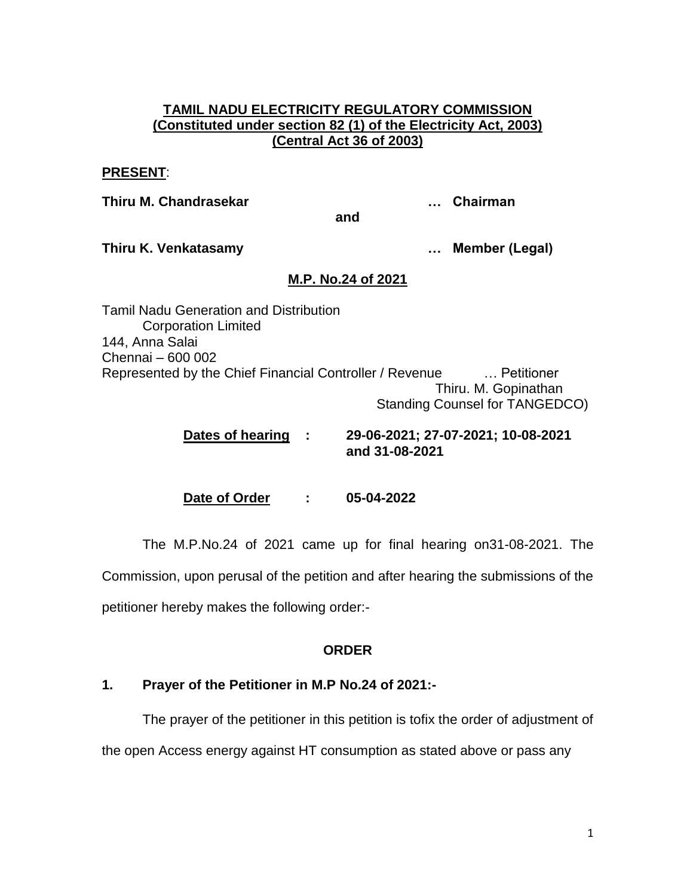### **TAMIL NADU ELECTRICITY REGULATORY COMMISSION (Constituted under section 82 (1) of the Electricity Act, 2003) (Central Act 36 of 2003)**

#### **PRESENT**:

**Thiru M. Chandrasekar … Chairman**

**and**

**Thiru K. Venkatasamy … Member (Legal)**

# **M.P. No.24 of 2021**

Tamil Nadu Generation and Distribution Corporation Limited 144, Anna Salai Chennai – 600 002 Represented by the Chief Financial Controller / Revenue … Petitioner Thiru. M. Gopinathan Standing Counsel for TANGEDCO)

> **Dates of hearing : 29-06-2021; 27-07-2021; 10-08-2021 and 31-08-2021**

**Date of Order : 05-04-2022**

The M.P.No.24 of 2021 came up for final hearing on31-08-2021. The

Commission, upon perusal of the petition and after hearing the submissions of the

petitioner hereby makes the following order:-

# **ORDER**

# **1. Prayer of the Petitioner in M.P No.24 of 2021:-**

The prayer of the petitioner in this petition is tofix the order of adjustment of the open Access energy against HT consumption as stated above or pass any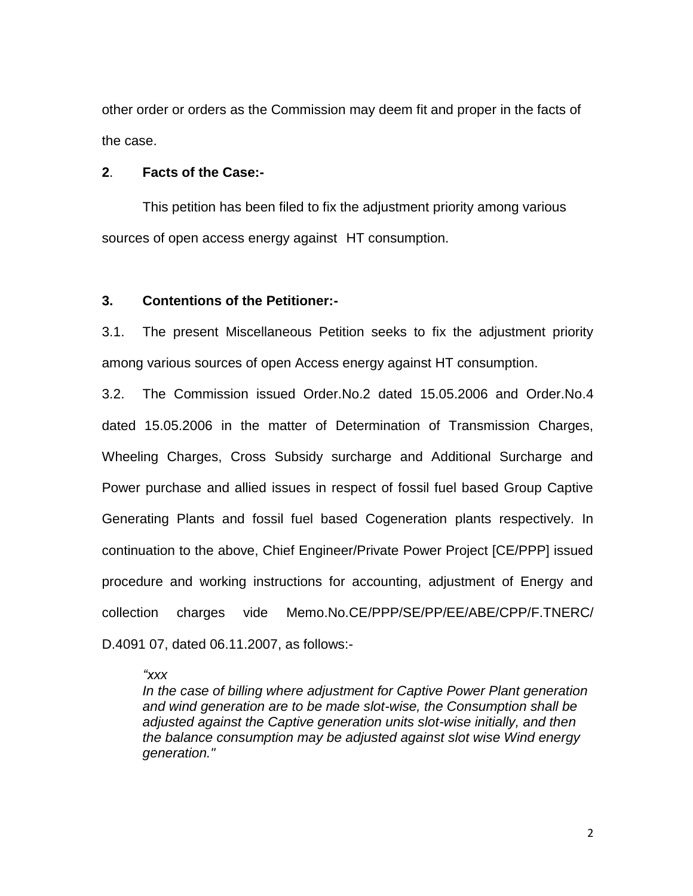other order or orders as the Commission may deem fit and proper in the facts of the case.

#### **2**. **Facts of the Case:-**

This petition has been filed to fix the adjustment priority among various sources of open access energy against HT consumption.

#### **3. Contentions of the Petitioner:-**

3.1. The present Miscellaneous Petition seeks to fix the adjustment priority among various sources of open Access energy against HT consumption.

3.2. The Commission issued Order.No.2 dated 15.05.2006 and Order.No.4 dated 15.05.2006 in the matter of Determination of Transmission Charges, Wheeling Charges, Cross Subsidy surcharge and Additional Surcharge and Power purchase and allied issues in respect of fossil fuel based Group Captive Generating Plants and fossil fuel based Cogeneration plants respectively. In continuation to the above, Chief Engineer/Private Power Project [CE/PPP] issued procedure and working instructions for accounting, adjustment of Energy and collection charges vide Memo.No.CE/PPP/SE/PP/EE/ABE/CPP/F.TNERC/ D.4091 07, dated 06.11.2007, as follows:-

#### *"xxx*

*In the case of billing where adjustment for Captive Power Plant generation and wind generation are to be made slot-wise, the Consumption shall be adjusted against the Captive generation units slot-wise initially, and then the balance consumption may be adjusted against slot wise Wind energy generation."*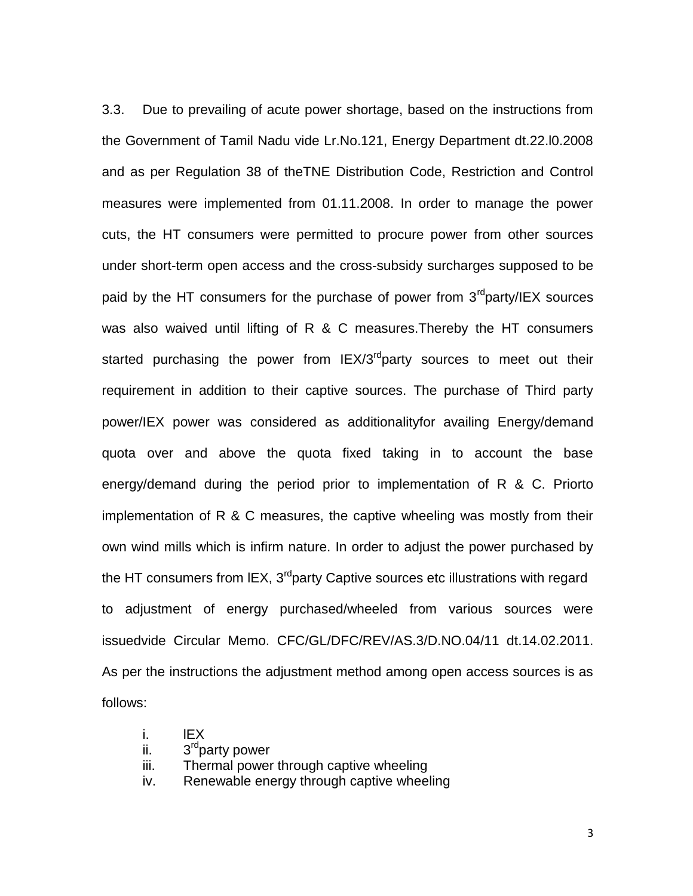3.3. Due to prevailing of acute power shortage, based on the instructions from the Government of Tamil Nadu vide Lr.No.121, Energy Department dt.22.l0.2008 and as per Regulation 38 of theTNE Distribution Code, Restriction and Control measures were implemented from 01.11.2008. In order to manage the power cuts, the HT consumers were permitted to procure power from other sources under short-term open access and the cross-subsidy surcharges supposed to be paid by the HT consumers for the purchase of power from  $3<sup>rd</sup>$  party/IEX sources was also waived until lifting of R & C measures.Thereby the HT consumers started purchasing the power from  $IEX/3<sup>rd</sup>$  party sources to meet out their requirement in addition to their captive sources. The purchase of Third party power/IEX power was considered as additionalityfor availing Energy/demand quota over and above the quota fixed taking in to account the base energy/demand during the period prior to implementation of R & C. Priorto implementation of R & C measures, the captive wheeling was mostly from their own wind mills which is infirm nature. In order to adjust the power purchased by the HT consumers from IEX,  $3<sup>rd</sup>$  party Captive sources etc illustrations with regard to adjustment of energy purchased/wheeled from various sources were issuedvide Circular Memo. CFC/GL/DFC/REV/AS.3/D.NO.04/11 dt.14.02.2011. As per the instructions the adjustment method among open access sources is as follows:

- i. lEX
- ii. 3<sup>rd</sup>party power
- iii. Thermal power through captive wheeling
- iv. Renewable energy through captive wheeling

3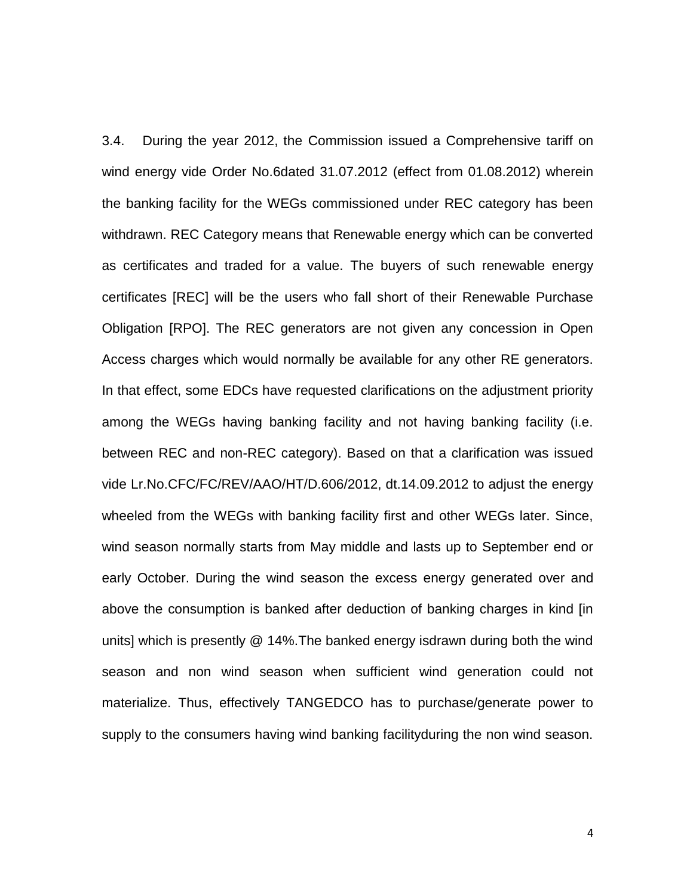3.4. During the year 2012, the Commission issued a Comprehensive tariff on wind energy vide Order No.6dated 31.07.2012 (effect from 01.08.2012) wherein the banking facility for the WEGs commissioned under REC category has been withdrawn. REC Category means that Renewable energy which can be converted as certificates and traded for a value. The buyers of such renewable energy certificates [REC] will be the users who fall short of their Renewable Purchase Obligation [RPO]. The REC generators are not given any concession in Open Access charges which would normally be available for any other RE generators. In that effect, some EDCs have requested clarifications on the adjustment priority among the WEGs having banking facility and not having banking facility (i.e. between REC and non-REC category). Based on that a clarification was issued vide Lr.No.CFC/FC/REV/AAO/HT/D.606/2012, dt.14.09.2012 to adjust the energy wheeled from the WEGs with banking facility first and other WEGs later. Since, wind season normally starts from May middle and lasts up to September end or early October. During the wind season the excess energy generated over and above the consumption is banked after deduction of banking charges in kind [in units] which is presently @ 14%.The banked energy isdrawn during both the wind season and non wind season when sufficient wind generation could not materialize. Thus, effectively TANGEDCO has to purchase/generate power to supply to the consumers having wind banking facilityduring the non wind season.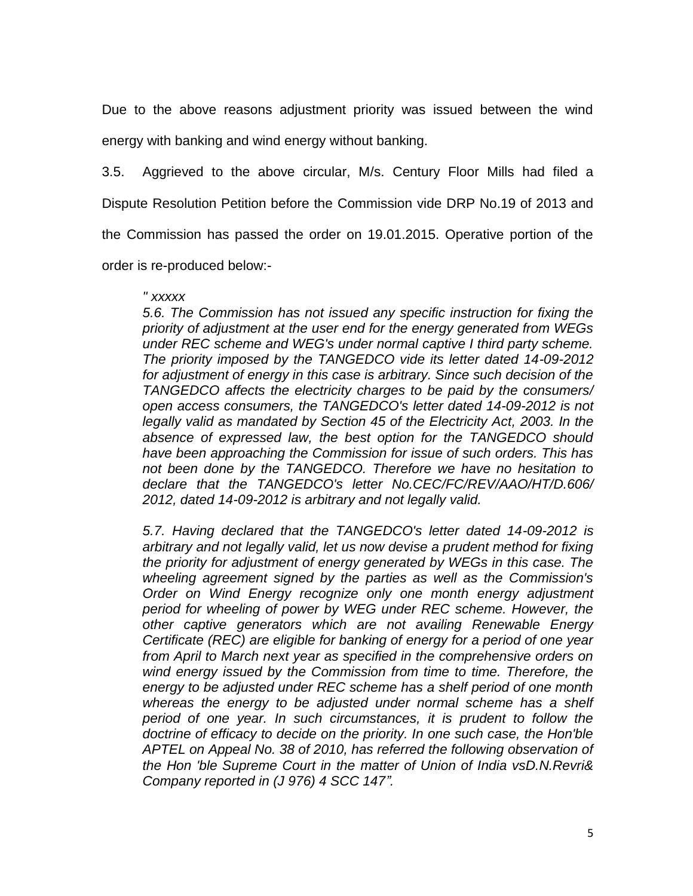Due to the above reasons adjustment priority was issued between the wind energy with banking and wind energy without banking.

3.5. Aggrieved to the above circular, M/s. Century Floor Mills had filed a

Dispute Resolution Petition before the Commission vide DRP No.19 of 2013 and

the Commission has passed the order on 19.01.2015. Operative portion of the

order is re-produced below:-

#### *" xxxxx*

*5.6. The Commission has not issued any specific instruction for fixing the priority of adjustment at the user end for the energy generated from WEGs under REC scheme and WEG's under normal captive I third party scheme. The priority imposed by the TANGEDCO vide its letter dated 14-09-2012 for adjustment of energy in this case is arbitrary. Since such decision of the TANGEDCO affects the electricity charges to be paid by the consumers/ open access consumers, the TANGEDCO's letter dated 14-09-2012 is not legally valid as mandated by Section 45 of the Electricity Act, 2003. In the absence of expressed law, the best option for the TANGEDCO should have been approaching the Commission for issue of such orders. This has not been done by the TANGEDCO. Therefore we have no hesitation to declare that the TANGEDCO's letter No.CEC/FC/REV/AAO/HT/D.606/ 2012, dated 14-09-2012 is arbitrary and not legally valid.* 

*5.7. Having declared that the TANGEDCO's letter dated 14-09-2012 is arbitrary and not legally valid, let us now devise a prudent method for fixing the priority for adjustment of energy generated by WEGs in this case. The wheeling agreement signed by the parties as well as the Commission's Order on Wind Energy recognize only one month energy adjustment period for wheeling of power by WEG under REC scheme. However, the other captive generators which are not availing Renewable Energy Certificate (REC) are eligible for banking of energy for a period of one year from April to March next year as specified in the comprehensive orders on wind energy issued by the Commission from time to time. Therefore, the energy to be adjusted under REC scheme has a shelf period of one month whereas the energy to be adjusted under normal scheme has a shelf period of one year. In such circumstances, it is prudent to follow the doctrine of efficacy to decide on the priority. In one such case, the Hon'ble APTEL on Appeal No. 38 of 2010, has referred the following observation of the Hon 'ble Supreme Court in the matter of Union of India vsD.N.Revri& Company reported in (J 976) 4 SCC 147".*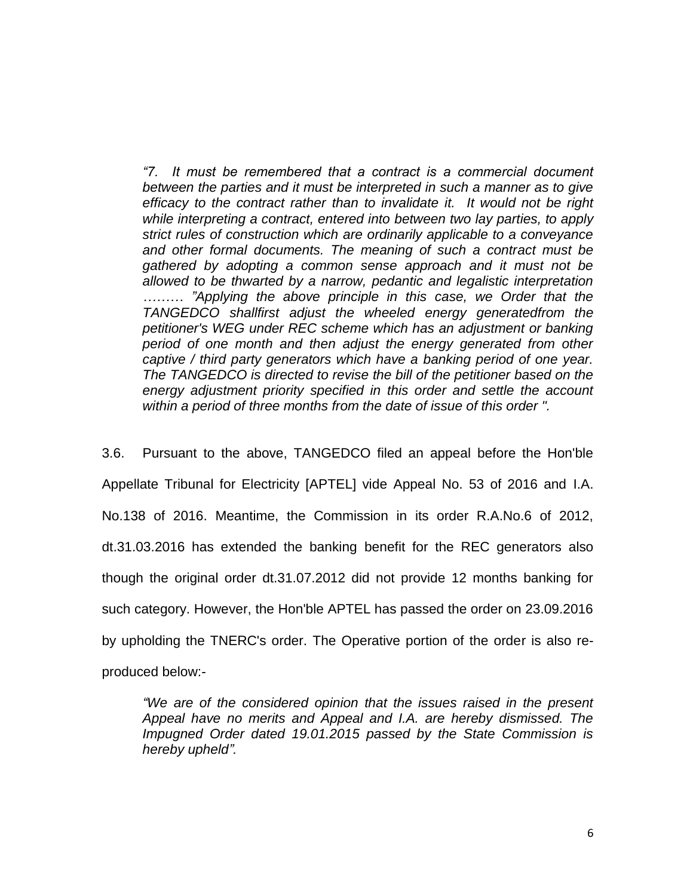*"7. It must be remembered that a contract is a commercial document between the parties and it must be interpreted in such a manner as to give efficacy to the contract rather than to invalidate it. It would not be right while interpreting a contract, entered into between two lay parties, to apply strict rules of construction which are ordinarily applicable to a conveyance and other formal documents. The meaning of such a contract must be gathered by adopting a common sense approach and it must not be allowed to be thwarted by a narrow, pedantic and legalistic interpretation ……… "Applying the above principle in this case, we Order that the TANGEDCO shallfirst adjust the wheeled energy generatedfrom the petitioner's WEG under REC scheme which has an adjustment or banking period of one month and then adjust the energy generated from other captive / third party generators which have a banking period of one year. The TANGEDCO is directed to revise the bill of the petitioner based on the energy adjustment priority specified in this order and settle the account within a period of three months from the date of issue of this order ".* 

3.6. Pursuant to the above, TANGEDCO filed an appeal before the Hon'ble Appellate Tribunal for Electricity [APTEL] vide Appeal No. 53 of 2016 and I.A. No.138 of 2016. Meantime, the Commission in its order R.A.No.6 of 2012, dt.31.03.2016 has extended the banking benefit for the REC generators also though the original order dt.31.07.2012 did not provide 12 months banking for such category. However, the Hon'ble APTEL has passed the order on 23.09.2016 by upholding the TNERC's order. The Operative portion of the order is also reproduced below:-

*"We are of the considered opinion that the issues raised in the present Appeal have no merits and Appeal and I.A. are hereby dismissed. The Impugned Order dated 19.01.2015 passed by the State Commission is hereby upheld".*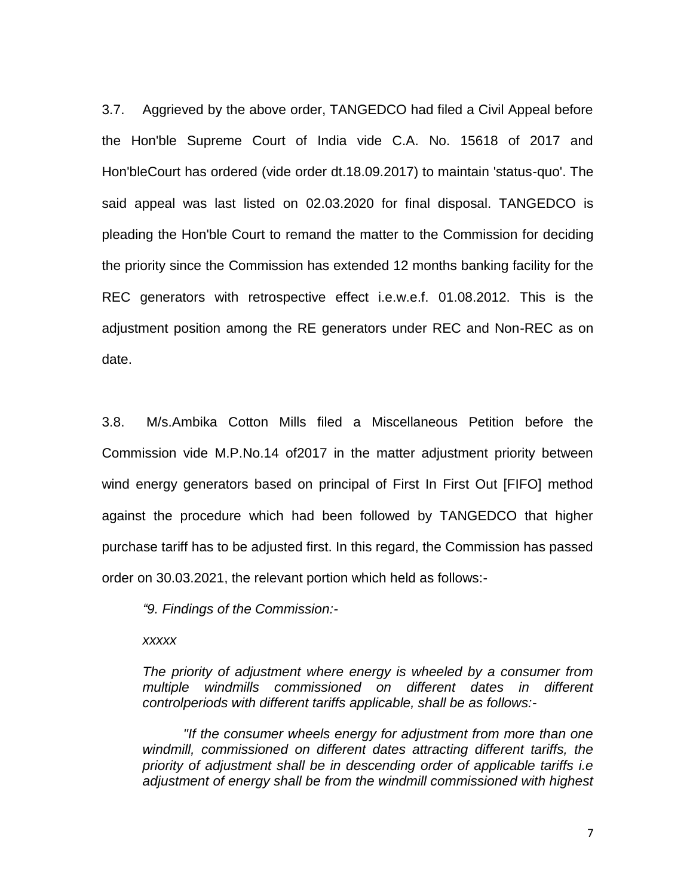3.7. Aggrieved by the above order, TANGEDCO had filed a Civil Appeal before the Hon'ble Supreme Court of India vide C.A. No. 15618 of 2017 and Hon'bleCourt has ordered (vide order dt.18.09.2017) to maintain 'status-quo'. The said appeal was last listed on 02.03.2020 for final disposal. TANGEDCO is pleading the Hon'ble Court to remand the matter to the Commission for deciding the priority since the Commission has extended 12 months banking facility for the REC generators with retrospective effect i.e.w.e.f. 01.08.2012. This is the adjustment position among the RE generators under REC and Non-REC as on date.

3.8. M/s.Ambika Cotton Mills filed a Miscellaneous Petition before the Commission vide M.P.No.14 of2017 in the matter adjustment priority between wind energy generators based on principal of First In First Out [FIFO] method against the procedure which had been followed by TANGEDCO that higher purchase tariff has to be adjusted first. In this regard, the Commission has passed order on 30.03.2021, the relevant portion which held as follows:-

*"9. Findings of the Commission:-*

*xxxxx*

*The priority of adjustment where energy is wheeled by a consumer from multiple windmills commissioned on different dates in different controlperiods with different tariffs applicable, shall be as follows:-*

*"If the consumer wheels energy for adjustment from more than one windmill, commissioned on different dates attracting different tariffs, the priority of adjustment shall be in descending order of applicable tariffs i.e adjustment of energy shall be from the windmill commissioned with highest*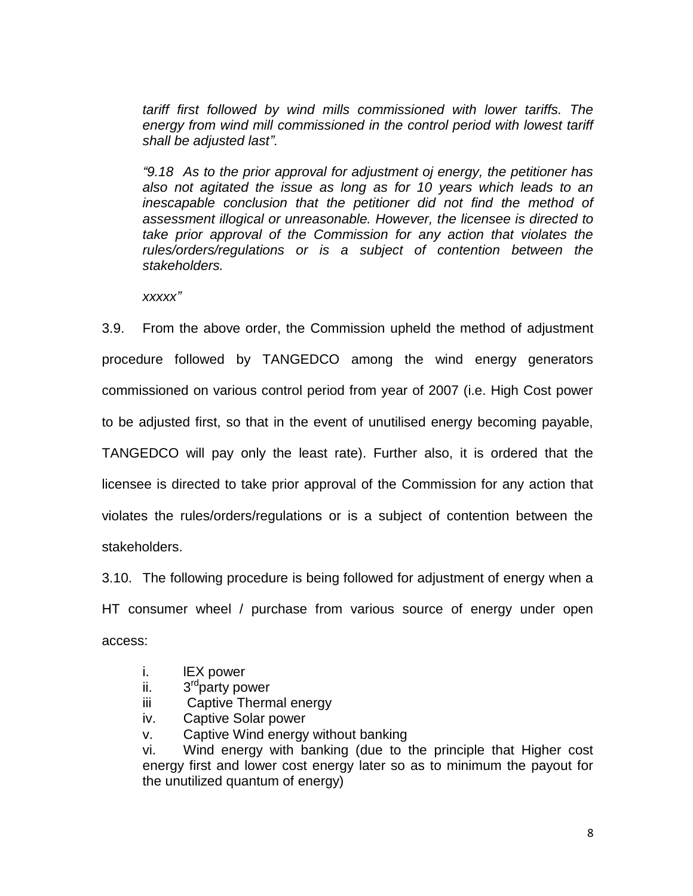*tariff first followed by wind mills commissioned with lower tariffs. The energy from wind mill commissioned in the control period with lowest tariff shall be adjusted last".*

*"9.18 As to the prior approval for adjustment oj energy, the petitioner has also not agitated the issue as long as for 10 years which leads to an inescapable conclusion that the petitioner did not find the method of assessment illogical or unreasonable. However, the licensee is directed to take prior approval of the Commission for any action that violates the rules/orders/regulations or is a subject of contention between the stakeholders.* 

*xxxxx"*

3.9. From the above order, the Commission upheld the method of adjustment procedure followed by TANGEDCO among the wind energy generators commissioned on various control period from year of 2007 (i.e. High Cost power to be adjusted first, so that in the event of unutilised energy becoming payable, TANGEDCO will pay only the least rate). Further also, it is ordered that the licensee is directed to take prior approval of the Commission for any action that violates the rules/orders/regulations or is a subject of contention between the stakeholders.

3.10. The following procedure is being followed for adjustment of energy when a HT consumer wheel / purchase from various source of energy under open access:

- i. lEX power
- ii. 3<sup>rd</sup>party power
- iii Captive Thermal energy
- iv. Captive Solar power
- v. Captive Wind energy without banking

vi. Wind energy with banking (due to the principle that Higher cost energy first and lower cost energy later so as to minimum the payout for the unutilized quantum of energy)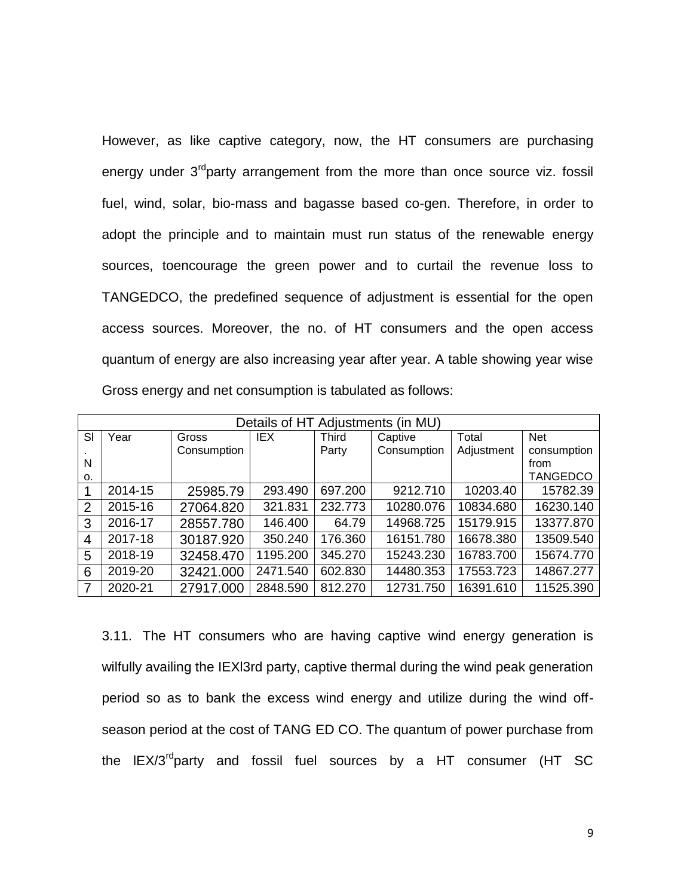However, as like captive category, now, the HT consumers are purchasing energy under  $3<sup>rd</sup>$  party arrangement from the more than once source viz. fossil fuel, wind, solar, bio-mass and bagasse based co-gen. Therefore, in order to adopt the principle and to maintain must run status of the renewable energy sources, toencourage the green power and to curtail the revenue loss to TANGEDCO, the predefined sequence of adjustment is essential for the open access sources. Moreover, the no. of HT consumers and the open access quantum of energy are also increasing year after year. A table showing year wise Gross energy and net consumption is tabulated as follows:

| Details of HT Adjustments (in MU) |         |             |            |                           |             |            |                 |  |
|-----------------------------------|---------|-------------|------------|---------------------------|-------------|------------|-----------------|--|
| SI                                | Year    | Gross       | <b>IEX</b> | Total<br>Third<br>Captive |             |            | <b>Net</b>      |  |
|                                   |         | Consumption |            | Party                     | Consumption | Adjustment | consumption     |  |
| N                                 |         |             |            |                           |             |            | from            |  |
| 0.                                |         |             |            |                           |             |            | <b>TANGEDCO</b> |  |
| 1                                 | 2014-15 | 25985.79    | 293.490    | 697.200                   | 9212.710    | 10203.40   | 15782.39        |  |
| 2                                 | 2015-16 | 27064.820   | 321.831    | 232.773                   | 10280.076   | 10834.680  | 16230.140       |  |
| 3                                 | 2016-17 | 28557.780   | 146.400    | 64.79                     | 14968.725   | 15179.915  | 13377.870       |  |
| 4                                 | 2017-18 | 30187.920   | 350.240    | 176.360                   | 16151.780   | 16678.380  | 13509.540       |  |
| 5                                 | 2018-19 | 32458.470   | 1195.200   | 345.270                   | 15243.230   | 16783.700  | 15674.770       |  |
| 6                                 | 2019-20 | 32421.000   | 2471.540   | 602.830                   | 14480.353   | 17553.723  | 14867.277       |  |
| 7                                 | 2020-21 | 27917.000   | 2848.590   | 812.270                   | 12731.750   | 16391.610  | 11525.390       |  |

3.11. The HT consumers who are having captive wind energy generation is wilfully availing the IEXl3rd party, captive thermal during the wind peak generation period so as to bank the excess wind energy and utilize during the wind offseason period at the cost of TANG ED CO. The quantum of power purchase from the  $IEX/3^{rd}$ party and fossil fuel sources by a HT consumer (HT SC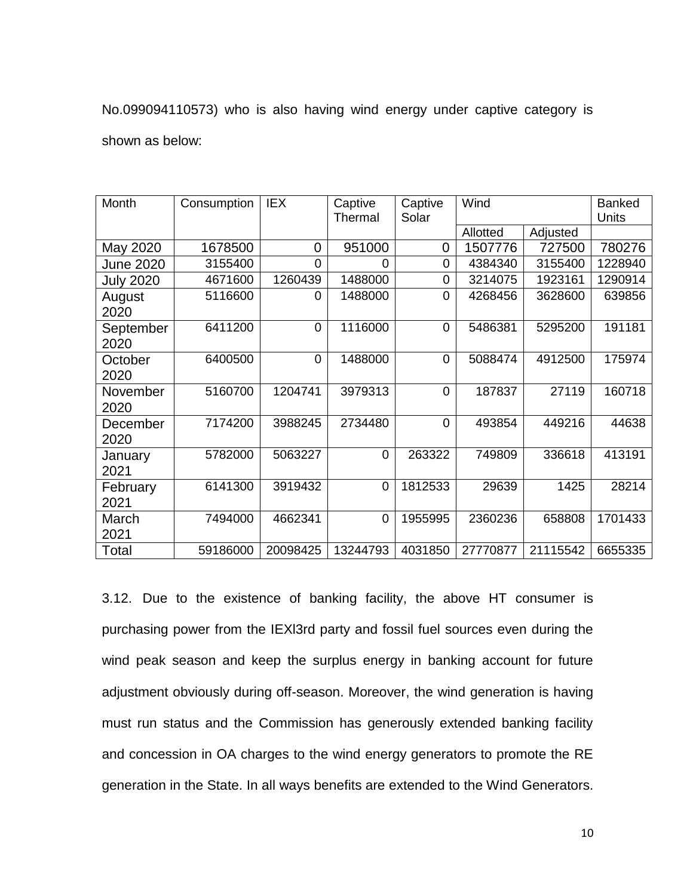No.099094110573) who is also having wind energy under captive category is shown as below:

| Month             | Consumption | <b>IEX</b>     | Captive<br>Thermal | Captive<br>Solar | Wind     |          | <b>Banked</b><br>Units |
|-------------------|-------------|----------------|--------------------|------------------|----------|----------|------------------------|
|                   |             |                |                    |                  | Allotted | Adjusted |                        |
| May 2020          | 1678500     | 0              | 951000             | 0                | 1507776  | 727500   | 780276                 |
| <b>June 2020</b>  | 3155400     | 0              | 0                  | 0                | 4384340  | 3155400  | 1228940                |
| <b>July 2020</b>  | 4671600     | 1260439        | 1488000            | 0                | 3214075  | 1923161  | 1290914                |
| August<br>2020    | 5116600     | 0              | 1488000            | 0                | 4268456  | 3628600  | 639856                 |
| September<br>2020 | 6411200     | 0              | 1116000            | 0                | 5486381  | 5295200  | 191181                 |
| October<br>2020   | 6400500     | $\overline{0}$ | 1488000            | $\overline{0}$   | 5088474  | 4912500  | 175974                 |
| November<br>2020  | 5160700     | 1204741        | 3979313            | $\Omega$         | 187837   | 27119    | 160718                 |
| December<br>2020  | 7174200     | 3988245        | 2734480            | $\overline{0}$   | 493854   | 449216   | 44638                  |
| January<br>2021   | 5782000     | 5063227        | 0                  | 263322           | 749809   | 336618   | 413191                 |
| February<br>2021  | 6141300     | 3919432        | $\overline{0}$     | 1812533          | 29639    | 1425     | 28214                  |
| March<br>2021     | 7494000     | 4662341        | $\overline{0}$     | 1955995          | 2360236  | 658808   | 1701433                |
| Total             | 59186000    | 20098425       | 13244793           | 4031850          | 27770877 | 21115542 | 6655335                |

3.12. Due to the existence of banking facility, the above HT consumer is purchasing power from the IEXl3rd party and fossil fuel sources even during the wind peak season and keep the surplus energy in banking account for future adjustment obviously during off-season. Moreover, the wind generation is having must run status and the Commission has generously extended banking facility and concession in OA charges to the wind energy generators to promote the RE generation in the State. In all ways benefits are extended to the Wind Generators.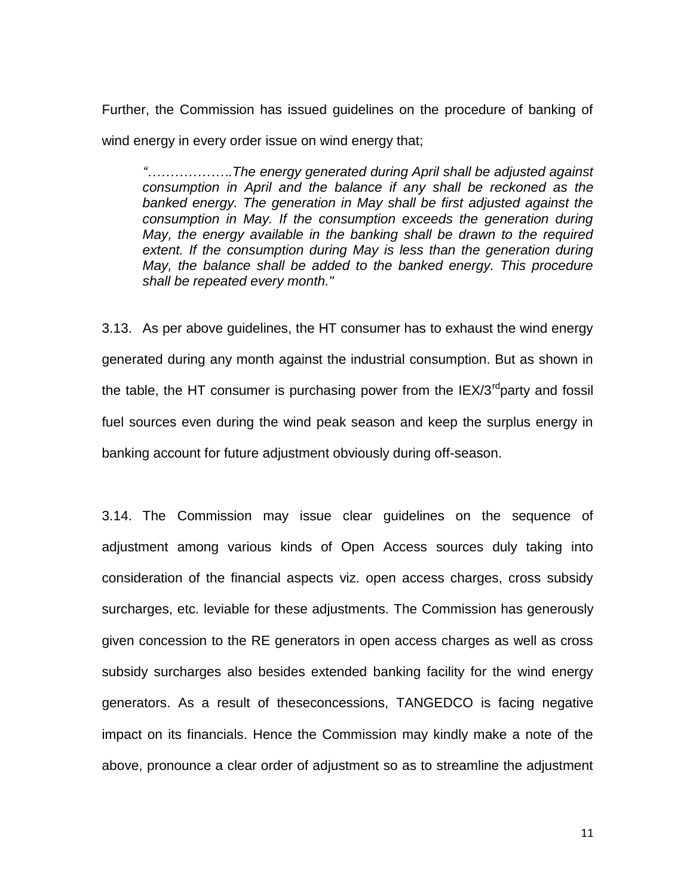Further, the Commission has issued guidelines on the procedure of banking of wind energy in every order issue on wind energy that;

*"……………….The energy generated during April shall be adjusted against consumption in April and the balance if any shall be reckoned as the banked energy. The generation in May shall be first adjusted against the consumption in May. If the consumption exceeds the generation during May, the energy available in the banking shall be drawn to the required extent. If the consumption during May is less than the generation during May, the balance shall be added to the banked energy. This procedure shall be repeated every month."* 

3.13. As per above guidelines, the HT consumer has to exhaust the wind energy generated during any month against the industrial consumption. But as shown in the table, the HT consumer is purchasing power from the  $IEX/3^{rd}$ party and fossil fuel sources even during the wind peak season and keep the surplus energy in banking account for future adjustment obviously during off-season.

3.14. The Commission may issue clear guidelines on the sequence of adjustment among various kinds of Open Access sources duly taking into consideration of the financial aspects viz. open access charges, cross subsidy surcharges, etc. leviable for these adjustments. The Commission has generously given concession to the RE generators in open access charges as well as cross subsidy surcharges also besides extended banking facility for the wind energy generators. As a result of theseconcessions, TANGEDCO is facing negative impact on its financials. Hence the Commission may kindly make a note of the above, pronounce a clear order of adjustment so as to streamline the adjustment

11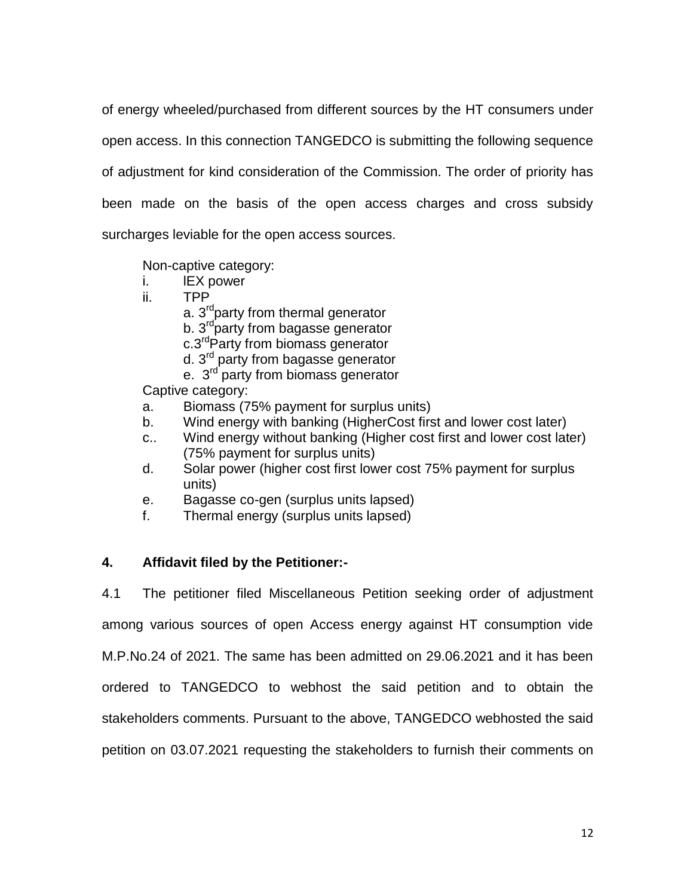of energy wheeled/purchased from different sources by the HT consumers under open access. In this connection TANGEDCO is submitting the following sequence of adjustment for kind consideration of the Commission. The order of priority has been made on the basis of the open access charges and cross subsidy surcharges leviable for the open access sources.

Non-captive category:

- i. lEX power
- ii. TPP
	- a.  $3^{rd}$  party from thermal generator
	- b. 3<sup>rd</sup>party from bagasse generator
	- c.3<sup>rd</sup>Party from biomass generator
	- d. 3rd party from bagasse generator
	- e. 3<sup>rd</sup> party from biomass generator

Captive category:

- a. Biomass (75% payment for surplus units)
- b. Wind energy with banking (HigherCost first and lower cost later)
- c.. Wind energy without banking (Higher cost first and lower cost later) (75% payment for surplus units)
- d. Solar power (higher cost first lower cost 75% payment for surplus units)
- e. Bagasse co-gen (surplus units lapsed)
- f. Thermal energy (surplus units lapsed)

### **4. Affidavit filed by the Petitioner:-**

4.1 The petitioner filed Miscellaneous Petition seeking order of adjustment among various sources of open Access energy against HT consumption vide M.P.No.24 of 2021. The same has been admitted on 29.06.2021 and it has been ordered to TANGEDCO to webhost the said petition and to obtain the stakeholders comments. Pursuant to the above, TANGEDCO webhosted the said petition on 03.07.2021 requesting the stakeholders to furnish their comments on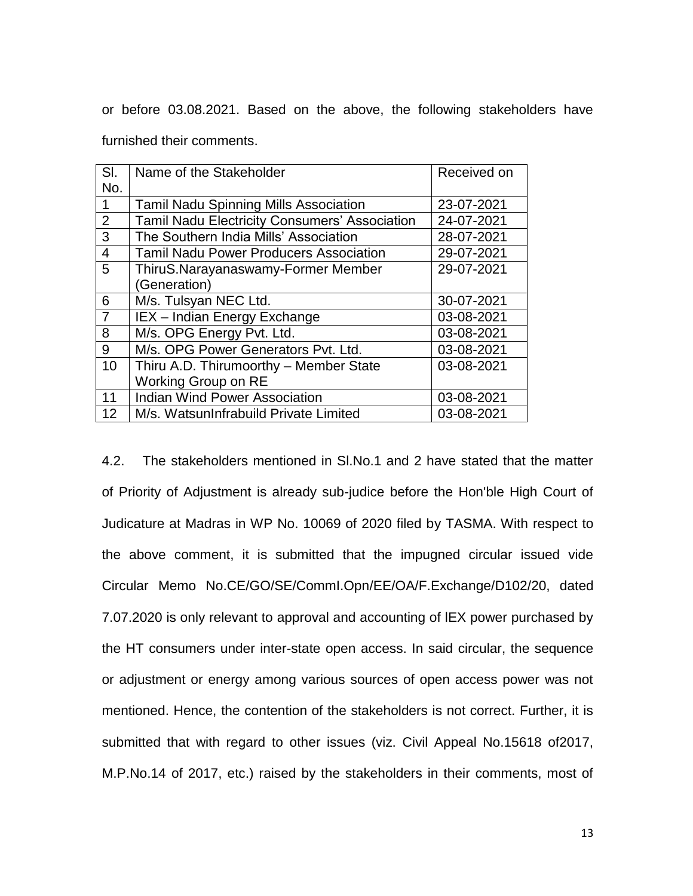or before 03.08.2021. Based on the above, the following stakeholders have

furnished their comments.

| SI.            | Name of the Stakeholder                              | Received on |
|----------------|------------------------------------------------------|-------------|
| No.            |                                                      |             |
|                | <b>Tamil Nadu Spinning Mills Association</b>         | 23-07-2021  |
| 2              | <b>Tamil Nadu Electricity Consumers' Association</b> | 24-07-2021  |
| 3              | The Southern India Mills' Association                | 28-07-2021  |
| $\overline{4}$ | <b>Tamil Nadu Power Producers Association</b>        | 29-07-2021  |
| 5              | ThiruS.Narayanaswamy-Former Member                   | 29-07-2021  |
|                | (Generation)                                         |             |
| 6              | M/s. Tulsyan NEC Ltd.                                | 30-07-2021  |
| $\overline{7}$ | IEX - Indian Energy Exchange                         | 03-08-2021  |
| 8              | M/s. OPG Energy Pvt. Ltd.                            | 03-08-2021  |
| 9              | M/s. OPG Power Generators Pvt. Ltd.                  | 03-08-2021  |
| 10             | Thiru A.D. Thirumoorthy - Member State               | 03-08-2021  |
|                | Working Group on RE                                  |             |
| 11             | <b>Indian Wind Power Association</b>                 | 03-08-2021  |
| 12             | M/s. WatsunInfrabuild Private Limited                | 03-08-2021  |

4.2. The stakeholders mentioned in Sl.No.1 and 2 have stated that the matter of Priority of Adjustment is already sub-judice before the Hon'ble High Court of Judicature at Madras in WP No. 10069 of 2020 filed by TASMA. With respect to the above comment, it is submitted that the impugned circular issued vide Circular Memo No.CE/GO/SE/CommI.Opn/EE/OA/F.Exchange/D102/20, dated 7.07.2020 is only relevant to approval and accounting of lEX power purchased by the HT consumers under inter-state open access. In said circular, the sequence or adjustment or energy among various sources of open access power was not mentioned. Hence, the contention of the stakeholders is not correct. Further, it is submitted that with regard to other issues (viz. Civil Appeal No.15618 of2017, M.P.No.14 of 2017, etc.) raised by the stakeholders in their comments, most of